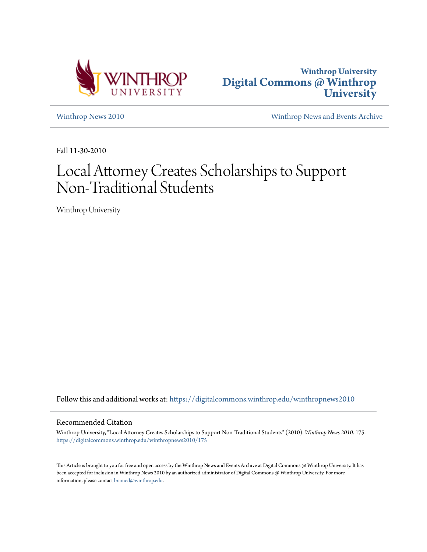



[Winthrop News 2010](https://digitalcommons.winthrop.edu/winthropnews2010?utm_source=digitalcommons.winthrop.edu%2Fwinthropnews2010%2F175&utm_medium=PDF&utm_campaign=PDFCoverPages) [Winthrop News and Events Archive](https://digitalcommons.winthrop.edu/winthropnewsarchives?utm_source=digitalcommons.winthrop.edu%2Fwinthropnews2010%2F175&utm_medium=PDF&utm_campaign=PDFCoverPages)

Fall 11-30-2010

## Local Attorney Creates Scholarships to Support Non-Traditional Students

Winthrop University

Follow this and additional works at: [https://digitalcommons.winthrop.edu/winthropnews2010](https://digitalcommons.winthrop.edu/winthropnews2010?utm_source=digitalcommons.winthrop.edu%2Fwinthropnews2010%2F175&utm_medium=PDF&utm_campaign=PDFCoverPages)

## Recommended Citation

Winthrop University, "Local Attorney Creates Scholarships to Support Non-Traditional Students" (2010). *Winthrop News 2010*. 175. [https://digitalcommons.winthrop.edu/winthropnews2010/175](https://digitalcommons.winthrop.edu/winthropnews2010/175?utm_source=digitalcommons.winthrop.edu%2Fwinthropnews2010%2F175&utm_medium=PDF&utm_campaign=PDFCoverPages)

This Article is brought to you for free and open access by the Winthrop News and Events Archive at Digital Commons @ Winthrop University. It has been accepted for inclusion in Winthrop News 2010 by an authorized administrator of Digital Commons @ Winthrop University. For more information, please contact [bramed@winthrop.edu](mailto:bramed@winthrop.edu).